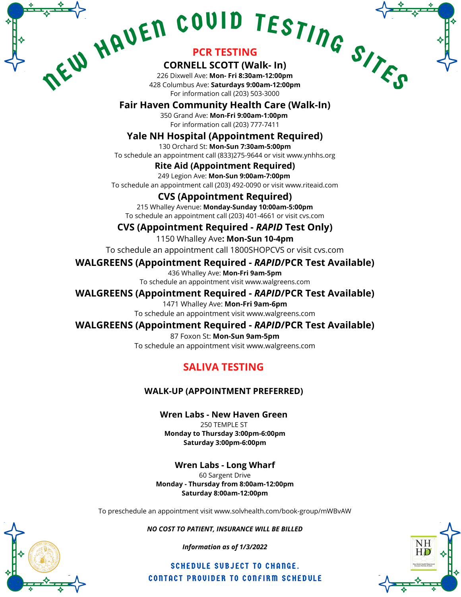# WHAVEN COUID TESTING SING

# **PCR TESTING**

### **CORNELL SCOTT (Walk- In)**

226 Dixwell Ave: **Mon- Fri 8:30am-12:00pm** 428 Columbus Ave: **Saturdays 9:00am-12:00pm** For information call (203) 503-3000

# **Fair Haven Community Health Care (Walk-In)**

350 Grand Ave: **Mon-Fri 9:00am-1:00pm** For information call (203) 777-7411

# **Yale NH Hospital (Appointment Required)**

130 Orchard St: **Mon-Sun 7:30am-5:00pm** To schedule an appointment call (833)275-9644 or visit www.ynhhs.org

#### **Rite Aid (Appointment Required)**

249 Legion Ave: **Mon-Sun 9:00am-7:00pm** To schedule an appointment call (203) 492-0090 or visit www.riteaid.com

#### **CVS (Appointment Required)**

215 Whalley Avenue: **Monday-Sunday 10:00am-5:00pm** To schedule an appointment call (203) 401-4661 or visit cvs.com

### **CVS (Appointment Required -** *RAPID* **Test Only)**

1150 Whalley Ave**: Mon-Sun 10-4pm**

To schedule an appointment call 1800SHOPCVS or visit cvs.com

#### **WALGREENS (Appointment Required -** *RAPID***/PCR Test Available)**

436 Whalley Ave: **Mon-Fri 9am-5pm** To schedule an appointment visit www.walgreens.com

#### **WALGREENS (Appointment Required -** *RAPID***/PCR Test Available)**

1471 Whalley Ave: **Mon-Fri 9am-6pm**

To schedule an appointment visit www.walgreens.com

#### **WALGREENS (Appointment Required -** *RAPID***/PCR Test Available)**

87 Foxon St: **Mon-Sun 9am-5pm** To schedule an appointment visit www.walgreens.com

# **SALIVA TESTING**

#### **WALK-UP (APPOINTMENT PREFERRED)**

**Wren Labs - New Haven Green** 250 TEMPLE ST **Monday to Thursday 3:00pm-6:00pm Saturday 3:00pm-6:00pm**

**Wren Labs - Long Wharf**

60 Sargent Drive **Monday - Thursday from 8:00am-12:00pm Saturday 8:00am-12:00pm**

To preschedule an appointment visit www.solvhealth.com/book-group/mWBvAW

#### *NO COST TO PATIENT, INSURANCE WILL BE BILLED*

*Information as of 1/3/2022*

SCHEDULE SUBJECT TO CHANGE. CONTACT PROVIDER TO CONFIRM SCHEDULE